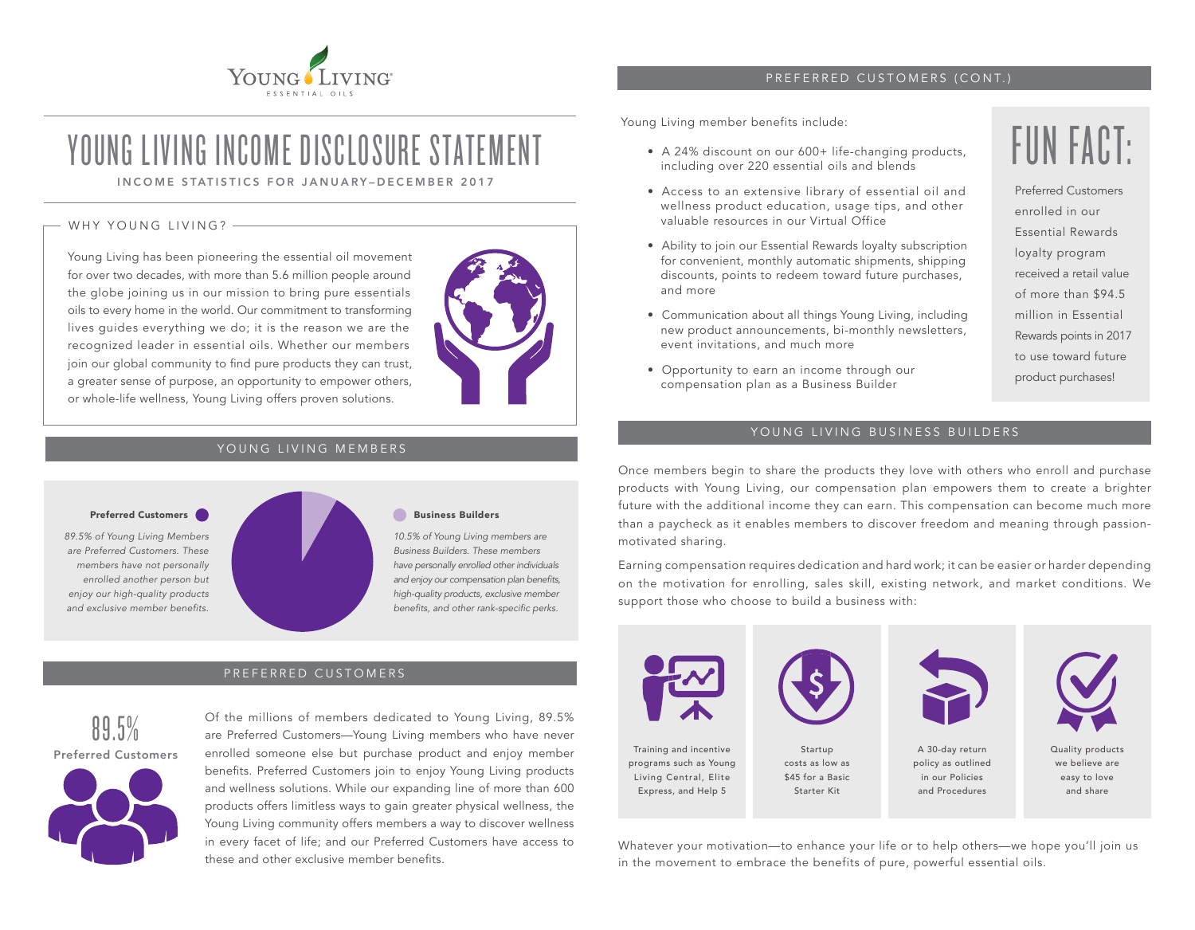

### PREFERRED CUSTOMERS (CONT.)

Young Living member benefits include:

- A 24% discount on our 600+ life-changing products, including over 220 essential oils and blends
- Access to an extensive library of essential oil and wellness product education, usage tips, and other valuable resources in our Virtual Office
- Ability to join our Essential Rewards loyalty subscription for convenient, monthly automatic shipments, shipping discounts, points to redeem toward future purchases, and more
- Communication about all things Young Living, including new product announcements, bi-monthly newsletters, event invitations, and much more
- Opportunity to earn an income through our compensation plan as a Business Builder

FUN FACT:

Preferred Customers enrolled in our Essential Rewards loyalty program received a retail value of more than \$94.5 million in Essential Rewards points in 2017 to use toward future product purchases!

### YOUNG LIVING BUSINESS BUILDERS

Once members begin to share the products they love with others who enroll and purchase products with Young Living, our compensation plan empowers them to create a brighter future with the additional income they can earn. This compensation can become much more than a paycheck as it enables members to discover freedom and meaning through passionmotivated sharing.

Earning compensation requires dedication and hard work; it can be easier or harder depending on the motivation for enrolling, sales skill, existing network, and market conditions. We support those who choose to build a business with:



Whatever your motivation—to enhance your life or to help others—we hope you'll join us in the movement to embrace the benefits of pure, powerful essential oils.

# YOUNG LIVING INCOME DISCLOSURE STATFMENT

INCOME STATISTICS FOR JANUARY–DECEMBER 2017

### WHY YOUNG LIVING?  $-$

Young Living has been pioneering the essential oil movement for over two decades, with more than 5.6 million people around the globe joining us in our mission to bring pure essentials oils to every home in the world. Our commitment to transforming lives guides everything we do; it is the reason we are the recognized leader in essential oils. Whether our members join our global community to find pure products they can trust, a greater sense of purpose, an opportunity to empower others, or whole-life wellness, Young Living offers proven solutions.



### YOUNG LIVING MEMBERS

*89.5% of Young Living Members are Preferred Customers. These members have not personally enrolled another person but enjoy our high-quality products and exclusive member benefits.*



*10.5% of Young Living members are Business Builders. These members have personally enrolled other individuals*  and enjoy our compensation plan benefits, high-quality products, exclusive member benefits, and other rank-specific perks.

### PREFERRED CUSTOMERS



Of the millions of members dedicated to Young Living, 89.5% are Preferred Customers—Young Living members who have never enrolled someone else but purchase product and enjoy member benefits. Preferred Customers join to enjoy Young Living products and wellness solutions. While our expanding line of more than 600 products offers limitless ways to gain greater physical wellness, the Young Living community offers members a way to discover wellness in every facet of life; and our Preferred Customers have access to these and other exclusive member benefits.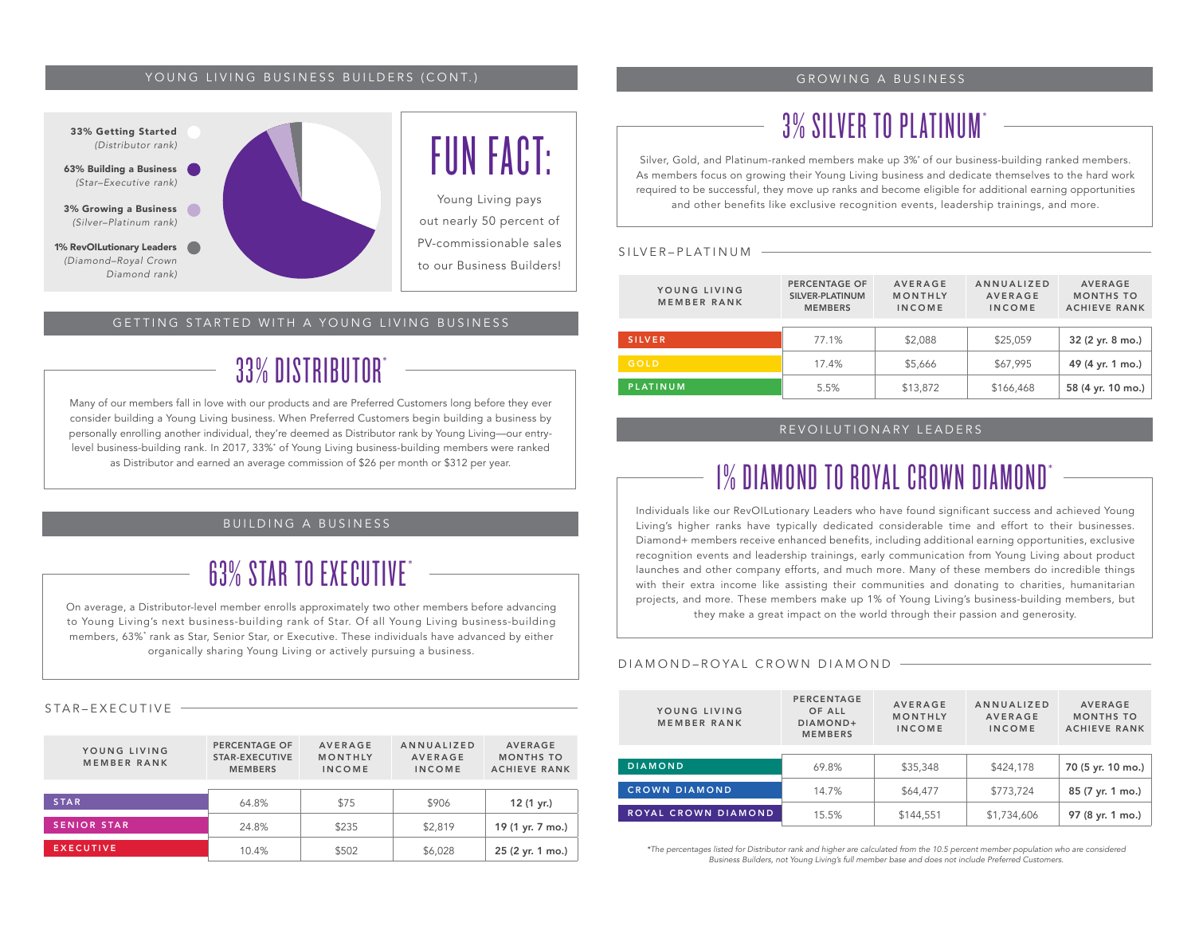### YOUNG LIVING BUSINESS BUILDERS (CONT.)



### GETTING STARTED WITH A YOUNG LIVING BUSINESS

### 33% DISTRIBUTOR\*

Many of our members fall in love with our products and are Preferred Customers long before they ever consider building a Young Living business. When Preferred Customers begin building a business by personally enrolling another individual, they're deemed as Distributor rank by Young Living—our entrylevel business-building rank. In 2017, 33%\* of Young Living business-building members were ranked as Distributor and earned an average commission of \$26 per month or \$312 per year.

### BUILDING A BUSINESS

## 63% STAR TO EXECUTIVE\*

On average, a Distributor-level member enrolls approximately two other members before advancing to Young Living's next business-building rank of Star. Of all Young Living business-building members, 63%\* rank as Star, Senior Star, or Executive. These individuals have advanced by either organically sharing Young Living or actively pursuing a business.

### STAR–EXECUTIVE

| YOUNG LIVING<br>MEMBER RANK | PERCENTAGE OF<br>STAR-EXECUTIVE<br><b>MEMBERS</b> | <b>AVERAGE</b><br>MONTHLY<br><b>INCOME</b> | ANNUALIZED<br><b>AVERAGE</b><br><b>INCOME</b> | <b>AVERAGE</b><br><b>MONTHS TO</b><br><b>ACHIEVE RANK</b> |  |
|-----------------------------|---------------------------------------------------|--------------------------------------------|-----------------------------------------------|-----------------------------------------------------------|--|
| <b>STAR</b>                 | 64.8%                                             | \$75                                       | \$906                                         | 12 (1 yr.)                                                |  |
| <b>SENIOR STAR</b>          | 24.8%                                             | \$235                                      | \$2,819                                       | 19 (1 yr. 7 mo.)                                          |  |
| <b>EXECUTIVE</b>            | 10.4%                                             | \$502                                      | \$6,028                                       | 25 (2 yr. 1 mo.)                                          |  |

### GROWING A BUSINESS

## 3% SILVER TO PLATINUM\*

Silver, Gold, and Platinum-ranked members make up 3%\* of our business-building ranked members. As members focus on growing their Young Living business and dedicate themselves to the hard work required to be successful, they move up ranks and become eligible for additional earning opportunities and other benefits like exclusive recognition events, leadership trainings, and more.

#### SILVER–PLATINUM

| YOUNG LIVING<br>MEMBER RANK | <b>PERCENTAGE OF</b><br>SILVER-PLATINUM<br><b>MEMBERS</b> | <b>AVERAGE</b><br>MONTHLY<br><b>INCOME</b> | ANNUALIZED<br><b>AVERAGE</b><br><b>INCOME</b> | <b>AVERAGE</b><br><b>MONTHS TO</b><br><b>ACHIEVE RANK</b> |  |
|-----------------------------|-----------------------------------------------------------|--------------------------------------------|-----------------------------------------------|-----------------------------------------------------------|--|
|                             |                                                           |                                            |                                               |                                                           |  |
| <b>SILVER</b>               | 77.1%                                                     | \$2,088                                    | \$25,059                                      | 32 (2 yr. 8 mo.)                                          |  |
|                             |                                                           |                                            |                                               |                                                           |  |
| GOLD                        | 17.4%                                                     | \$5,666                                    | \$67,995                                      | 49 (4 yr. 1 mo.)                                          |  |
| <b>PLATINUM</b>             | 5.5%                                                      | \$13,872                                   | \$166,468                                     | 58 (4 yr. 10 mo.)                                         |  |

### REVOILUTIONARY LEADERS

## 1% DIAMOND TO ROYAL CROWN DIAMOND\*

Individuals like our RevOILutionary Leaders who have found significant success and achieved Young Living's higher ranks have typically dedicated considerable time and effort to their businesses. Diamond+ members receive enhanced benefits, including additional earning opportunities, exclusive recognition events and leadership trainings, early communication from Young Living about product launches and other company efforts, and much more. Many of these members do incredible things with their extra income like assisting their communities and donating to charities, humanitarian projects, and more. These members make up 1% of Young Living's business-building members, but they make a great impact on the world through their passion and generosity.

#### DIAMOND–ROYAL CROWN DIAMOND

| YOUNG LIVING<br>MEMBER RANK | PERCENTAGE<br>OF ALL<br>DIAMOND+<br><b>MEMBERS</b> | <b>AVERAGE</b><br>MONTHLY<br><b>INCOME</b> | <b>ANNUALIZED</b><br><b>AVERAGE</b><br><b>INCOME</b> | <b>AVERAGE</b><br><b>MONTHS TO</b><br><b>ACHIEVE RANK</b> |  |
|-----------------------------|----------------------------------------------------|--------------------------------------------|------------------------------------------------------|-----------------------------------------------------------|--|
| <b>DIAMOND</b>              | 69.8%                                              | \$35,348                                   | \$424,178                                            | 70 (5 yr. 10 mo.)                                         |  |
|                             |                                                    |                                            |                                                      |                                                           |  |
| <b>CROWN DIAMOND</b>        | 14.7%                                              | \$64,477                                   | \$773.724                                            | 85 (7 yr. 1 mo.)                                          |  |
| ROYAL CROWN DIAMOND         | 15.5%                                              | \$144,551                                  | \$1,734,606                                          | 97 (8 yr. 1 mo.)                                          |  |

\*The percentages listed for Distributor rank and higher are calculated from the 10.5 percent member population who are considered Business Builders, not Young Living's full member base and does not include Preferred Customers.